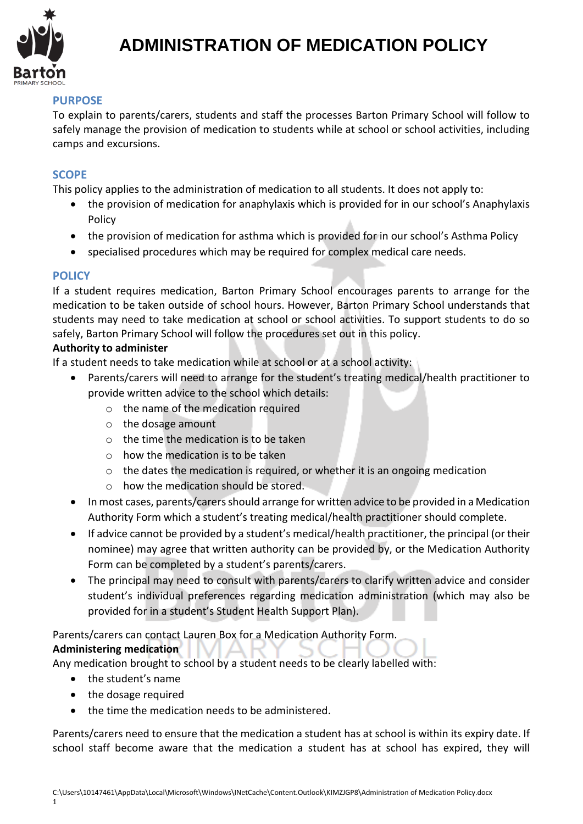

# **ADMINISTRATION OF MEDICATION POLICY**

## **PURPOSE**

To explain to parents/carers, students and staff the processes Barton Primary School will follow to safely manage the provision of medication to students while at school or school activities, including camps and excursions.

### **SCOPE**

This policy applies to the administration of medication to all students. It does not apply to:

- the provision of medication for anaphylaxis which is provided for in our school's Anaphylaxis Policy
- the provision of medication for asthma which is provided for in our school's Asthma Policy
- specialised procedures which may be required for complex medical care needs.

### **POLICY**

If a student requires medication, Barton Primary School encourages parents to arrange for the medication to be taken outside of school hours. However, Barton Primary School understands that students may need to take medication at school or school activities. To support students to do so safely, Barton Primary School will follow the procedures set out in this policy.

#### **Authority to administer**

If a student needs to take medication while at school or at a school activity:

- Parents/carers will need to arrange for the student's treating medical/health practitioner to provide written advice to the school which details:
	- o the name of the medication required
	- o the dosage amount
	- $\circ$  the time the medication is to be taken
	- o how the medication is to be taken
	- o the dates the medication is required, or whether it is an ongoing medication
	- o how the medication should be stored.
- In most cases, parents/carers should arrange for written advice to be provided in a Medication Authority Form which a student's treating medical/health practitioner should complete.
- If advice cannot be provided by a student's medical/health practitioner, the principal (or their nominee) may agree that written authority can be provided by, or the Medication Authority Form can be completed by a student's parents/carers.
- The principal may need to consult with parents/carers to clarify written advice and consider student's individual preferences regarding medication administration (which may also be provided for in a student's Student Health Support Plan).

## Parents/carers can contact Lauren Box for a Medication Authority Form.

### **Administering medication**

Any medication brought to school by a student needs to be clearly labelled with:

- the student's name
- the dosage required
- the time the medication needs to be administered.

Parents/carers need to ensure that the medication a student has at school is within its expiry date. If school staff become aware that the medication a student has at school has expired, they will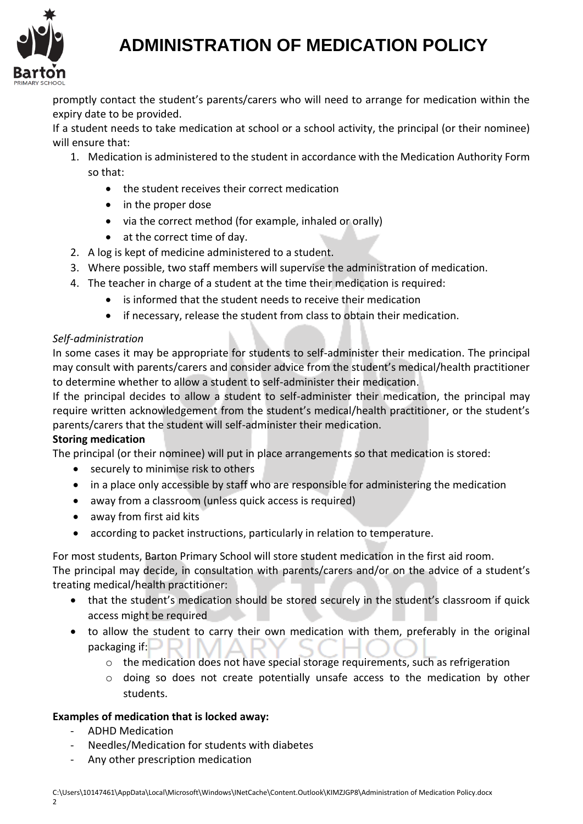

# **ADMINISTRATION OF MEDICATION POLICY**

promptly contact the student's parents/carers who will need to arrange for medication within the expiry date to be provided.

If a student needs to take medication at school or a school activity, the principal (or their nominee) will ensure that:

- 1. Medication is administered to the student in accordance with the Medication Authority Form so that:
	- the student receives their correct medication
	- in the proper dose
	- via the correct method (for example, inhaled or orally)
	- at the correct time of day.
- 2. A log is kept of medicine administered to a student.
- 3. Where possible, two staff members will supervise the administration of medication.
- 4. The teacher in charge of a student at the time their medication is required:
	- is informed that the student needs to receive their medication
	- if necessary, release the student from class to obtain their medication.

### *Self-administration*

In some cases it may be appropriate for students to self-administer their medication. The principal may consult with parents/carers and consider advice from the student's medical/health practitioner to determine whether to allow a student to self-administer their medication.

If the principal decides to allow a student to self-administer their medication, the principal may require written acknowledgement from the student's medical/health practitioner, or the student's parents/carers that the student will self-administer their medication.

### **Storing medication**

The principal (or their nominee) will put in place arrangements so that medication is stored:

- securely to minimise risk to others
- in a place only accessible by staff who are responsible for administering the medication
- away from a classroom (unless quick access is required)
- away from first aid kits
- according to packet instructions, particularly in relation to temperature.

For most students, Barton Primary School will store student medication in the first aid room. The principal may decide, in consultation with parents/carers and/or on the advice of a student's treating medical/health practitioner:

- that the student's medication should be stored securely in the student's classroom if quick access might be required
- to allow the student to carry their own medication with them, preferably in the original packaging if:
	- o the medication does not have special storage requirements, such as refrigeration
	- o doing so does not create potentially unsafe access to the medication by other students.

### **Examples of medication that is locked away:**

- ADHD Medication
- Needles/Medication for students with diabetes
- Any other prescription medication